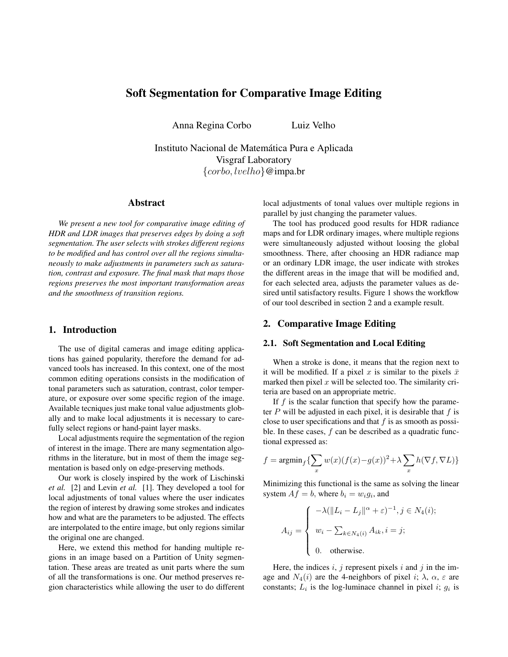# Soft Segmentation for Comparative Image Editing

Anna Regina Corbo Luiz Velho

Instituto Nacional de Matematica Pura e Aplicada ´ Visgraf Laboratory  $\{corbo, lvelho\}$ @impa.br

## Abstract

*We present a new tool for comparative image editing of HDR and LDR images that preserves edges by doing a soft segmentation. The user selects with strokes different regions to be modified and has control over all the regions simultaneously to make adjustments in parameters such as saturation, contrast and exposure. The final mask that maps those regions preserves the most important transformation areas and the smoothness of transition regions.*

### 1. Introduction

The use of digital cameras and image editing applications has gained popularity, therefore the demand for advanced tools has increased. In this context, one of the most common editing operations consists in the modification of tonal parameters such as saturation, contrast, color temperature, or exposure over some specific region of the image. Available tecniques just make tonal value adjustments globally and to make local adjustments it is necessary to carefully select regions or hand-paint layer masks.

Local adjustments require the segmentation of the region of interest in the image. There are many segmentation algorithms in the literature, but in most of them the image segmentation is based only on edge-preserving methods.

Our work is closely inspired by the work of Lischinski *et al.* [2] and Levin *et al.* [1]. They developed a tool for local adjustments of tonal values where the user indicates the region of interest by drawing some strokes and indicates how and what are the parameters to be adjusted. The effects are interpolated to the entire image, but only regions similar the original one are changed.

Here, we extend this method for handing multiple regions in an image based on a Partition of Unity segmentation. These areas are treated as unit parts where the sum of all the transformations is one. Our method preserves region characteristics while allowing the user to do different local adjustments of tonal values over multiple regions in parallel by just changing the parameter values.

The tool has produced good results for HDR radiance maps and for LDR ordinary images, where multiple regions were simultaneously adjusted without loosing the global smoothness. There, after choosing an HDR radiance map or an ordinary LDR image, the user indicate with strokes the different areas in the image that will be modified and, for each selected area, adjusts the parameter values as desired until satisfactory results. Figure 1 shows the workflow of our tool described in section 2 and a example result.

## 2. Comparative Image Editing

#### 2.1. Soft Segmentation and Local Editing

When a stroke is done, it means that the region next to it will be modified. If a pixel x is similar to the pixels  $\bar{x}$ marked then pixel  $x$  will be selected too. The similarity criteria are based on an appropriate metric.

If  $f$  is the scalar function that specify how the parameter  $P$  will be adjusted in each pixel, it is desirable that  $f$  is close to user specifications and that  $f$  is as smooth as possible. In these cases, f can be described as a quadratic functional expressed as:

$$
f = \operatorname{argmin}_{f} \{ \sum_{x} w(x) (f(x) - g(x))^2 + \lambda \sum_{x} h(\nabla f, \nabla L) \}
$$

Minimizing this functional is the same as solving the linear system  $Af = b$ , where  $b_i = w_i g_i$ , and

$$
A_{ij} = \begin{cases} -\lambda (\|L_i - L_j\|^{\alpha} + \varepsilon)^{-1}, j \in N_4(i); \\ w_i - \sum_{k \in N_4(i)} A_{ik}, i = j; \\ 0. \quad \text{otherwise.} \end{cases}
$$

Here, the indices  $i, j$  represent pixels  $i$  and  $j$  in the image and  $N_4(i)$  are the 4-neighbors of pixel i;  $\lambda$ ,  $\alpha$ ,  $\varepsilon$  are constants;  $L_i$  is the log-luminace channel in pixel i;  $g_i$  is